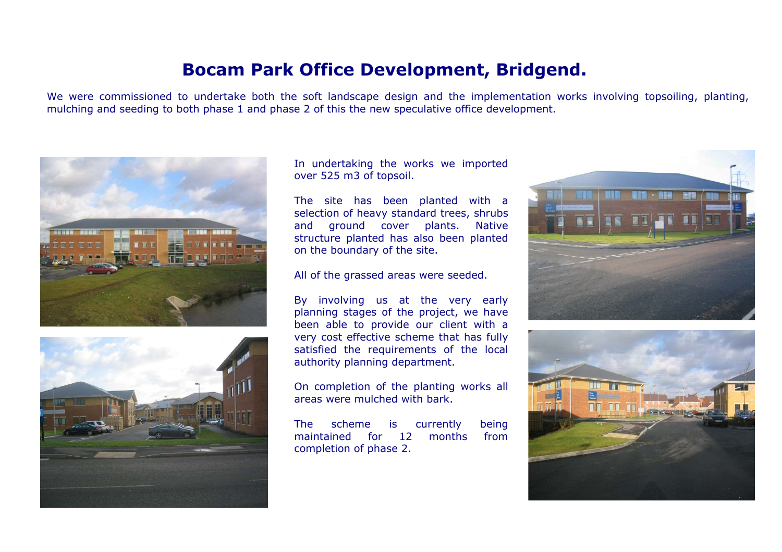## **Bocam Park Office Development, Bridgend.**

We were commissioned to undertake both the soft landscape design and the implementation works involving topsoiling, planting, mulching and seeding to both phase 1 and phase 2 of this the new speculative office development.





In undertaking the works we imported over 525 m3 of topsoil.

The site has been planted with a selection of heavy standard trees, shrubs and ground cover plants. Native structure planted has also been planted on the boundary of the site.

All of the grassed areas were seeded.

By involving us at the very early planning stages of the project, we have been able to provide our client with a very cost effective scheme that has fully satisfied the requirements of the local authority planning department.

On completion of the planting works all areas were mulched with bark.

The scheme is currently being maintained for 12 months fromcompletion of phase 2.